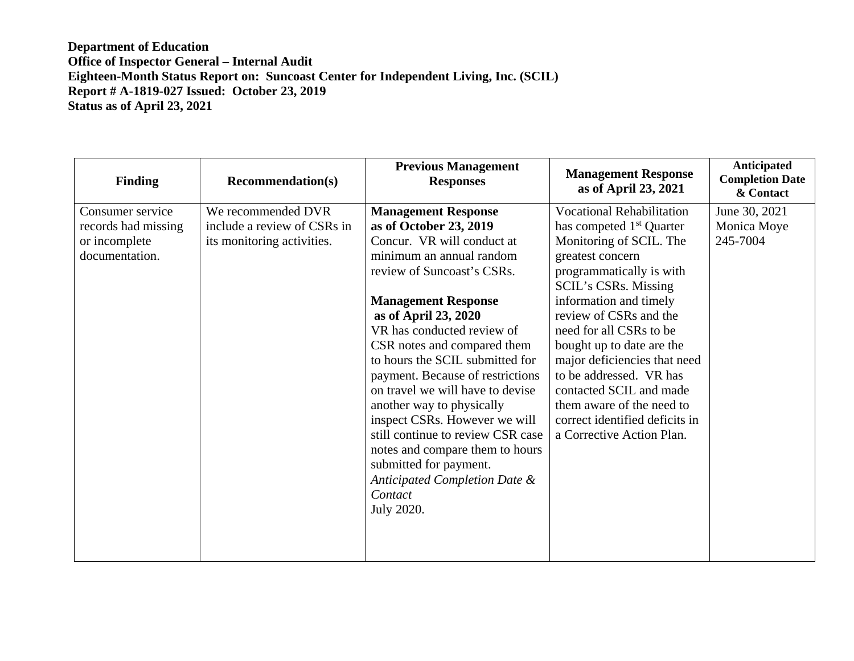| <b>Finding</b>                                                             | <b>Recommendation(s)</b>                                                        | <b>Previous Management</b><br><b>Responses</b>                                                                                                                                                                                                                                                                                                                                                                                                                                                                                                                                                       | <b>Management Response</b><br>as of April 23, 2021                                                                                                                                                                                                                                                                                                                                                                                                                               | Anticipated<br><b>Completion Date</b><br>& Contact |
|----------------------------------------------------------------------------|---------------------------------------------------------------------------------|------------------------------------------------------------------------------------------------------------------------------------------------------------------------------------------------------------------------------------------------------------------------------------------------------------------------------------------------------------------------------------------------------------------------------------------------------------------------------------------------------------------------------------------------------------------------------------------------------|----------------------------------------------------------------------------------------------------------------------------------------------------------------------------------------------------------------------------------------------------------------------------------------------------------------------------------------------------------------------------------------------------------------------------------------------------------------------------------|----------------------------------------------------|
| Consumer service<br>records had missing<br>or incomplete<br>documentation. | We recommended DVR<br>include a review of CSRs in<br>its monitoring activities. | <b>Management Response</b><br>as of October 23, 2019<br>Concur. VR will conduct at<br>minimum an annual random<br>review of Suncoast's CSRs.<br><b>Management Response</b><br>as of April 23, 2020<br>VR has conducted review of<br>CSR notes and compared them<br>to hours the SCIL submitted for<br>payment. Because of restrictions<br>on travel we will have to devise<br>another way to physically<br>inspect CSRs. However we will<br>still continue to review CSR case<br>notes and compare them to hours<br>submitted for payment.<br>Anticipated Completion Date &<br>Contact<br>July 2020. | <b>Vocational Rehabilitation</b><br>has competed 1 <sup>st</sup> Quarter<br>Monitoring of SCIL. The<br>greatest concern<br>programmatically is with<br><b>SCIL's CSRs. Missing</b><br>information and timely<br>review of CSRs and the<br>need for all CSRs to be<br>bought up to date are the<br>major deficiencies that need<br>to be addressed. VR has<br>contacted SCIL and made<br>them aware of the need to<br>correct identified deficits in<br>a Corrective Action Plan. | June 30, 2021<br>Monica Moye<br>245-7004           |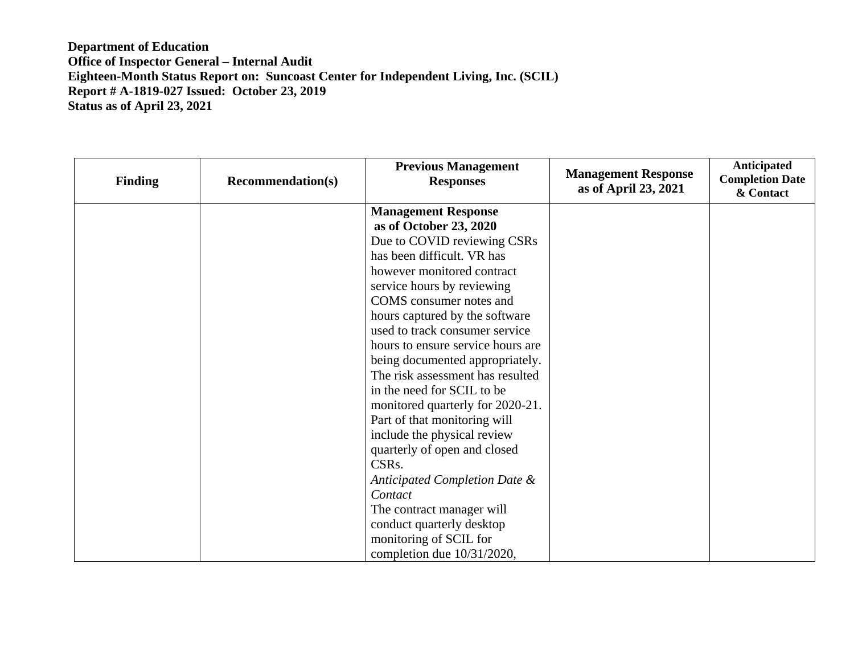| <b>Finding</b> | <b>Recommendation(s)</b> | <b>Previous Management</b><br><b>Responses</b> | <b>Management Response</b><br>as of April 23, 2021 | Anticipated<br><b>Completion Date</b><br>& Contact |
|----------------|--------------------------|------------------------------------------------|----------------------------------------------------|----------------------------------------------------|
|                |                          | <b>Management Response</b>                     |                                                    |                                                    |
|                |                          | as of October 23, 2020                         |                                                    |                                                    |
|                |                          | Due to COVID reviewing CSRs                    |                                                    |                                                    |
|                |                          | has been difficult. VR has                     |                                                    |                                                    |
|                |                          | however monitored contract                     |                                                    |                                                    |
|                |                          | service hours by reviewing                     |                                                    |                                                    |
|                |                          | COMS consumer notes and                        |                                                    |                                                    |
|                |                          | hours captured by the software                 |                                                    |                                                    |
|                |                          | used to track consumer service                 |                                                    |                                                    |
|                |                          | hours to ensure service hours are              |                                                    |                                                    |
|                |                          | being documented appropriately.                |                                                    |                                                    |
|                |                          | The risk assessment has resulted               |                                                    |                                                    |
|                |                          | in the need for SCIL to be                     |                                                    |                                                    |
|                |                          | monitored quarterly for 2020-21.               |                                                    |                                                    |
|                |                          | Part of that monitoring will                   |                                                    |                                                    |
|                |                          | include the physical review                    |                                                    |                                                    |
|                |                          | quarterly of open and closed                   |                                                    |                                                    |
|                |                          | CSR <sub>s</sub> .                             |                                                    |                                                    |
|                |                          | Anticipated Completion Date &                  |                                                    |                                                    |
|                |                          | Contact                                        |                                                    |                                                    |
|                |                          | The contract manager will                      |                                                    |                                                    |
|                |                          | conduct quarterly desktop                      |                                                    |                                                    |
|                |                          | monitoring of SCIL for                         |                                                    |                                                    |
|                |                          | completion due 10/31/2020,                     |                                                    |                                                    |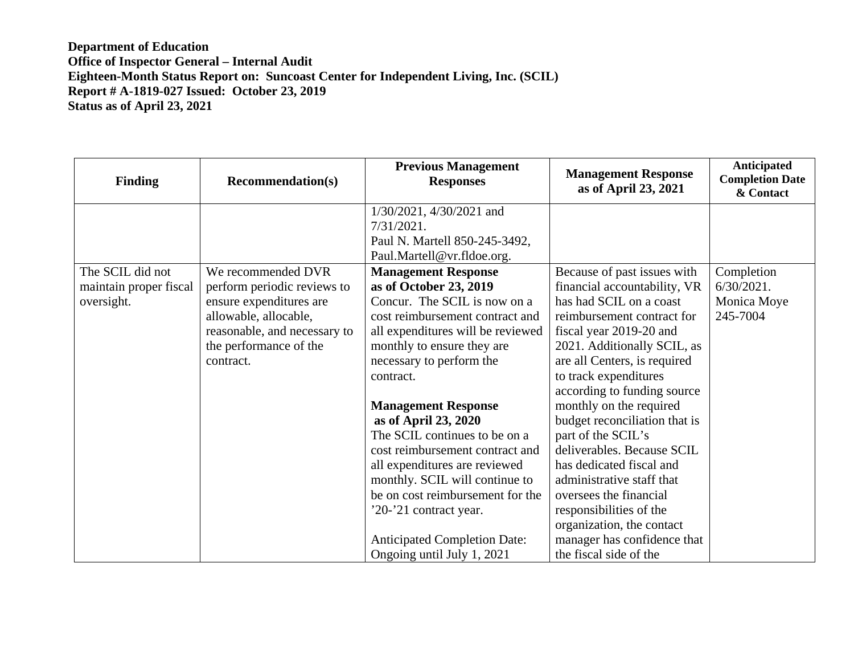| <b>Finding</b>         | <b>Recommendation(s)</b>     | <b>Previous Management</b><br><b>Responses</b> | <b>Management Response</b><br>as of April 23, 2021 | Anticipated<br><b>Completion Date</b><br>& Contact |
|------------------------|------------------------------|------------------------------------------------|----------------------------------------------------|----------------------------------------------------|
|                        |                              | 1/30/2021, 4/30/2021 and                       |                                                    |                                                    |
|                        |                              | $7/31/2021$ .                                  |                                                    |                                                    |
|                        |                              | Paul N. Martell 850-245-3492,                  |                                                    |                                                    |
|                        |                              | Paul.Martell@vr.fldoe.org.                     |                                                    |                                                    |
| The SCIL did not       | We recommended DVR           | <b>Management Response</b>                     | Because of past issues with                        | Completion                                         |
| maintain proper fiscal | perform periodic reviews to  | as of October 23, 2019                         | financial accountability, VR                       | $6/30/2021$ .                                      |
| oversight.             | ensure expenditures are      | Concur. The SCIL is now on a                   | has had SCIL on a coast                            | Monica Moye                                        |
|                        | allowable, allocable,        | cost reimbursement contract and                | reimbursement contract for                         | 245-7004                                           |
|                        | reasonable, and necessary to | all expenditures will be reviewed              | fiscal year 2019-20 and                            |                                                    |
|                        | the performance of the       | monthly to ensure they are                     | 2021. Additionally SCIL, as                        |                                                    |
|                        | contract.                    | necessary to perform the                       | are all Centers, is required                       |                                                    |
|                        |                              | contract.                                      | to track expenditures                              |                                                    |
|                        |                              |                                                | according to funding source                        |                                                    |
|                        |                              | <b>Management Response</b>                     | monthly on the required                            |                                                    |
|                        |                              | as of April 23, 2020                           | budget reconciliation that is                      |                                                    |
|                        |                              | The SCIL continues to be on a                  | part of the SCIL's                                 |                                                    |
|                        |                              | cost reimbursement contract and                | deliverables. Because SCIL                         |                                                    |
|                        |                              | all expenditures are reviewed                  | has dedicated fiscal and                           |                                                    |
|                        |                              | monthly. SCIL will continue to                 | administrative staff that                          |                                                    |
|                        |                              | be on cost reimbursement for the               | oversees the financial                             |                                                    |
|                        |                              | '20-'21 contract year.                         | responsibilities of the                            |                                                    |
|                        |                              |                                                | organization, the contact                          |                                                    |
|                        |                              | <b>Anticipated Completion Date:</b>            | manager has confidence that                        |                                                    |
|                        |                              | Ongoing until July 1, 2021                     | the fiscal side of the                             |                                                    |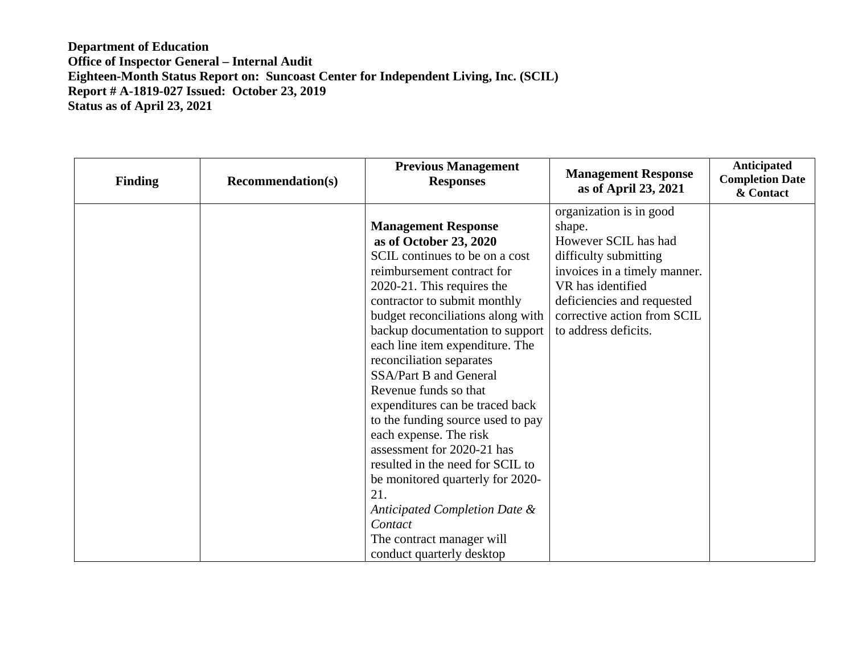| <b>Finding</b> | <b>Recommendation(s)</b> | <b>Previous Management</b><br><b>Responses</b>                                                                                                                                                                                                                 | <b>Management Response</b><br>as of April 23, 2021                                                                                                                    | Anticipated<br><b>Completion Date</b><br>& Contact |
|----------------|--------------------------|----------------------------------------------------------------------------------------------------------------------------------------------------------------------------------------------------------------------------------------------------------------|-----------------------------------------------------------------------------------------------------------------------------------------------------------------------|----------------------------------------------------|
|                |                          | <b>Management Response</b><br>as of October 23, 2020<br>SCIL continues to be on a cost<br>reimbursement contract for<br>2020-21. This requires the<br>contractor to submit monthly                                                                             | organization is in good<br>shape.<br>However SCIL has had<br>difficulty submitting<br>invoices in a timely manner.<br>VR has identified<br>deficiencies and requested |                                                    |
|                |                          | budget reconciliations along with<br>backup documentation to support<br>each line item expenditure. The<br>reconciliation separates<br>SSA/Part B and General<br>Revenue funds so that<br>expenditures can be traced back<br>to the funding source used to pay | corrective action from SCIL<br>to address deficits.                                                                                                                   |                                                    |
|                |                          | each expense. The risk<br>assessment for 2020-21 has<br>resulted in the need for SCIL to<br>be monitored quarterly for 2020-<br>21.<br>Anticipated Completion Date &<br>Contact<br>The contract manager will<br>conduct quarterly desktop                      |                                                                                                                                                                       |                                                    |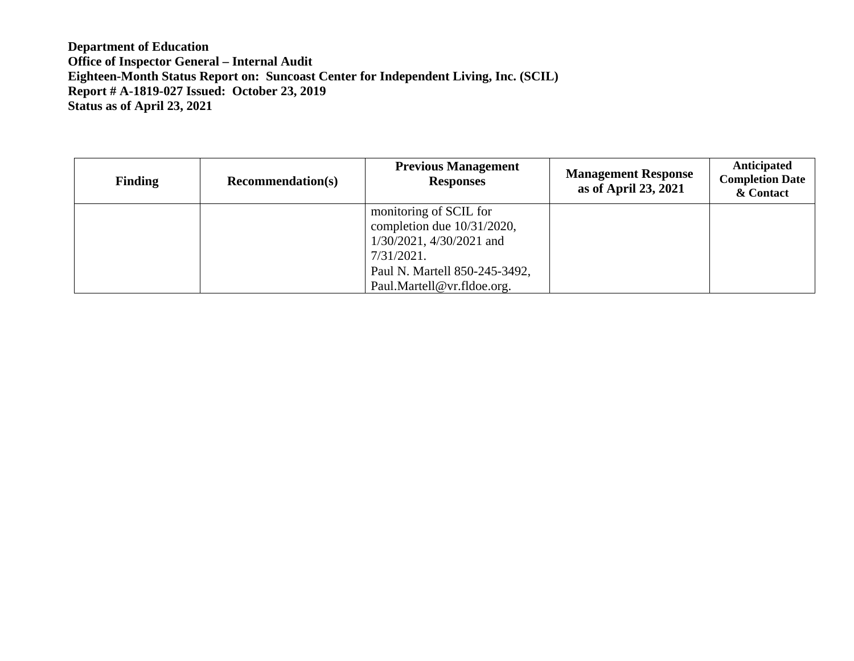| <b>Finding</b> | <b>Recommendation(s)</b> | <b>Previous Management</b><br><b>Responses</b> | <b>Management Response</b><br>as of April 23, 2021 | Anticipated<br><b>Completion Date</b><br>& Contact |
|----------------|--------------------------|------------------------------------------------|----------------------------------------------------|----------------------------------------------------|
|                |                          | monitoring of SCIL for                         |                                                    |                                                    |
|                |                          | completion due $10/31/2020$ ,                  |                                                    |                                                    |
|                |                          | 1/30/2021, 4/30/2021 and                       |                                                    |                                                    |
|                |                          | 7/31/2021.                                     |                                                    |                                                    |
|                |                          | Paul N. Martell 850-245-3492,                  |                                                    |                                                    |
|                |                          | Paul.Martell@vr.fldoe.org.                     |                                                    |                                                    |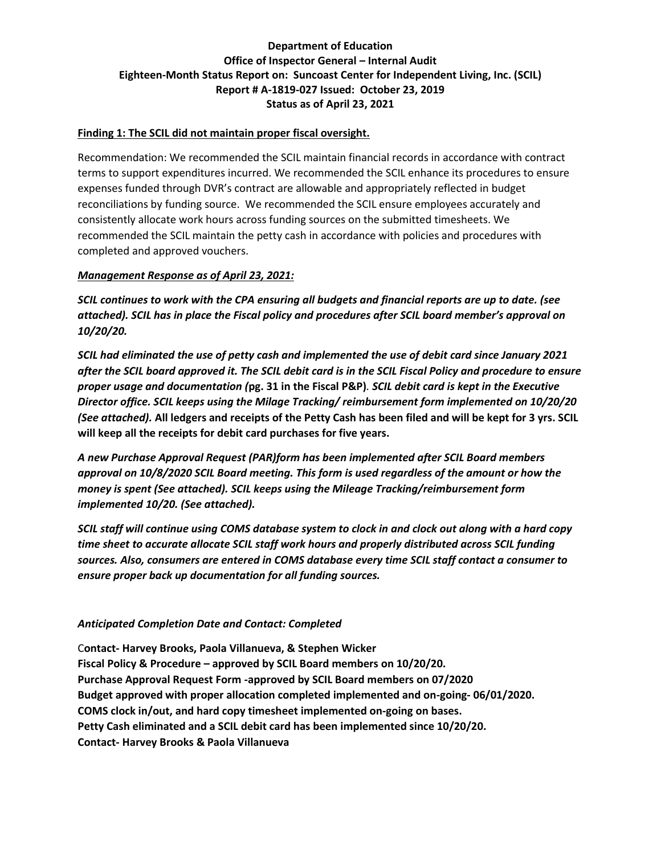### **Finding 1: The SCIL did not maintain proper fiscal oversight.**

Recommendation: We recommended the SCIL maintain financial records in accordance with contract terms to support expenditures incurred. We recommended the SCIL enhance its procedures to ensure expenses funded through DVR's contract are allowable and appropriately reflected in budget reconciliations by funding source. We recommended the SCIL ensure employees accurately and consistently allocate work hours across funding sources on the submitted timesheets. We recommended the SCIL maintain the petty cash in accordance with policies and procedures with completed and approved vouchers.

### *Management Response as of April 23, 2021:*

*SCIL continues to work with the CPA ensuring all budgets and financial reports are up to date. (see attached). SCIL has in place the Fiscal policy and procedures after SCIL board member's approval on 10/20/20.* 

*SCIL had eliminated the use of petty cash and implemented the use of debit card since January 2021 after the SCIL board approved it. The SCIL debit card is in the SCIL Fiscal Policy and procedure to ensure proper usage and documentation (***pg. 31 in the Fiscal P&P)***. SCIL debit card is kept in the Executive Director office. SCIL keeps using the Milage Tracking/ reimbursement form implemented on 10/20/20 (See attached).* **All ledgers and receipts of the Petty Cash has been filed and will be kept for 3 yrs. SCIL will keep all the receipts for debit card purchases for five years.**

*A new Purchase Approval Request (PAR)form has been implemented after SCIL Board members approval on 10/8/2020 SCIL Board meeting. This form is used regardless of the amount or how the money is spent (See attached). SCIL keeps using the Mileage Tracking/reimbursement form implemented 10/20. (See attached).*

*SCIL staff will continue using COMS database system to clock in and clock out along with a hard copy time sheet to accurate allocate SCIL staff work hours and properly distributed across SCIL funding sources. Also, consumers are entered in COMS database every time SCIL staff contact a consumer to ensure proper back up documentation for all funding sources.*

# *Anticipated Completion Date and Contact: Completed*

C**ontact- Harvey Brooks, Paola Villanueva, & Stephen Wicker Fiscal Policy & Procedure – approved by SCIL Board members on 10/20/20. Purchase Approval Request Form -approved by SCIL Board members on 07/2020 Budget approved with proper allocation completed implemented and on-going- 06/01/2020. COMS clock in/out, and hard copy timesheet implemented on-going on bases. Petty Cash eliminated and a SCIL debit card has been implemented since 10/20/20. Contact- Harvey Brooks & Paola Villanueva**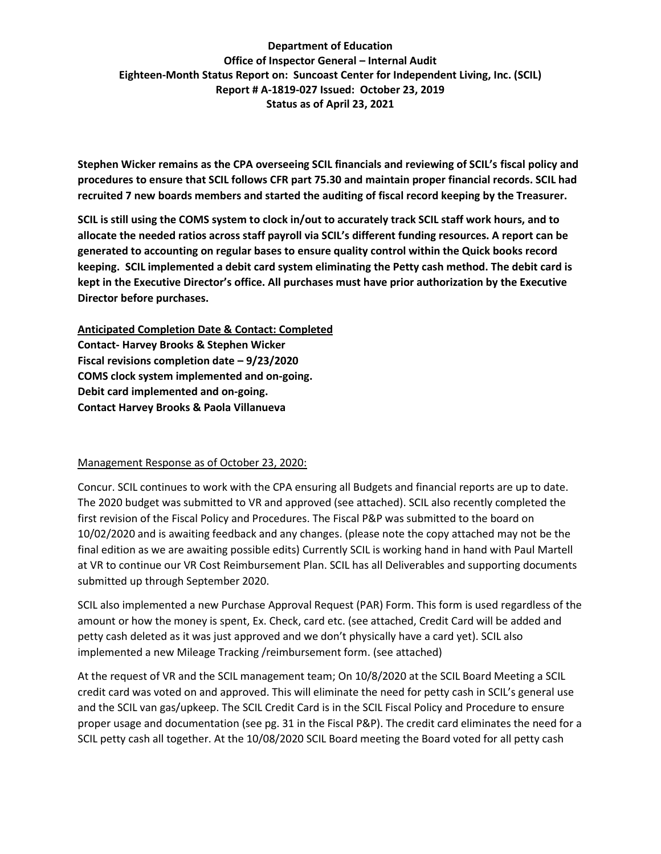**Stephen Wicker remains as the CPA overseeing SCIL financials and reviewing of SCIL's fiscal policy and procedures to ensure that SCIL follows CFR part 75.30 and maintain proper financial records. SCIL had recruited 7 new boards members and started the auditing of fiscal record keeping by the Treasurer.**

**SCIL is still using the COMS system to clock in/out to accurately track SCIL staff work hours, and to allocate the needed ratios across staff payroll via SCIL's different funding resources. A report can be generated to accounting on regular bases to ensure quality control within the Quick books record keeping. SCIL implemented a debit card system eliminating the Petty cash method. The debit card is kept in the Executive Director's office. All purchases must have prior authorization by the Executive Director before purchases.** 

**Anticipated Completion Date & Contact: Completed Contact- Harvey Brooks & Stephen Wicker Fiscal revisions completion date – 9/23/2020 COMS clock system implemented and on-going. Debit card implemented and on-going. Contact Harvey Brooks & Paola Villanueva**

#### Management Response as of October 23, 2020:

Concur. SCIL continues to work with the CPA ensuring all Budgets and financial reports are up to date. The 2020 budget was submitted to VR and approved (see attached). SCIL also recently completed the first revision of the Fiscal Policy and Procedures. The Fiscal P&P was submitted to the board on 10/02/2020 and is awaiting feedback and any changes. (please note the copy attached may not be the final edition as we are awaiting possible edits) Currently SCIL is working hand in hand with Paul Martell at VR to continue our VR Cost Reimbursement Plan. SCIL has all Deliverables and supporting documents submitted up through September 2020.

SCIL also implemented a new Purchase Approval Request (PAR) Form. This form is used regardless of the amount or how the money is spent, Ex. Check, card etc. (see attached, Credit Card will be added and petty cash deleted as it was just approved and we don't physically have a card yet). SCIL also implemented a new Mileage Tracking /reimbursement form. (see attached)

At the request of VR and the SCIL management team; On 10/8/2020 at the SCIL Board Meeting a SCIL credit card was voted on and approved. This will eliminate the need for petty cash in SCIL's general use and the SCIL van gas/upkeep. The SCIL Credit Card is in the SCIL Fiscal Policy and Procedure to ensure proper usage and documentation (see pg. 31 in the Fiscal P&P). The credit card eliminates the need for a SCIL petty cash all together. At the 10/08/2020 SCIL Board meeting the Board voted for all petty cash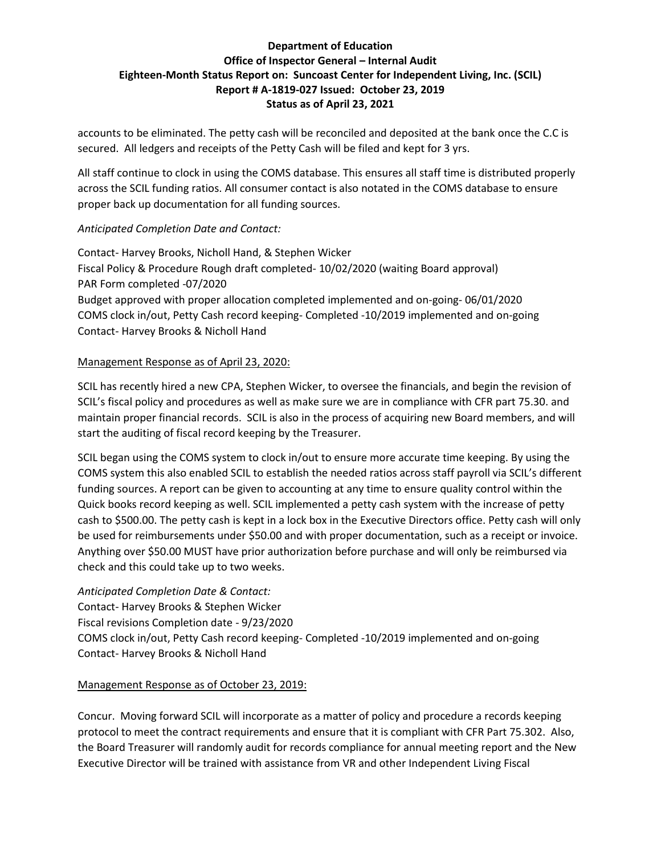accounts to be eliminated. The petty cash will be reconciled and deposited at the bank once the C.C is secured. All ledgers and receipts of the Petty Cash will be filed and kept for 3 yrs.

All staff continue to clock in using the COMS database. This ensures all staff time is distributed properly across the SCIL funding ratios. All consumer contact is also notated in the COMS database to ensure proper back up documentation for all funding sources.

# *Anticipated Completion Date and Contact:*

Contact- Harvey Brooks, Nicholl Hand, & Stephen Wicker Fiscal Policy & Procedure Rough draft completed- 10/02/2020 (waiting Board approval) PAR Form completed -07/2020 Budget approved with proper allocation completed implemented and on-going- 06/01/2020 COMS clock in/out, Petty Cash record keeping- Completed -10/2019 implemented and on-going Contact- Harvey Brooks & Nicholl Hand

### Management Response as of April 23, 2020:

SCIL has recently hired a new CPA, Stephen Wicker, to oversee the financials, and begin the revision of SCIL's fiscal policy and procedures as well as make sure we are in compliance with CFR part 75.30. and maintain proper financial records. SCIL is also in the process of acquiring new Board members, and will start the auditing of fiscal record keeping by the Treasurer.

SCIL began using the COMS system to clock in/out to ensure more accurate time keeping. By using the COMS system this also enabled SCIL to establish the needed ratios across staff payroll via SCIL's different funding sources. A report can be given to accounting at any time to ensure quality control within the Quick books record keeping as well. SCIL implemented a petty cash system with the increase of petty cash to \$500.00. The petty cash is kept in a lock box in the Executive Directors office. Petty cash will only be used for reimbursements under \$50.00 and with proper documentation, such as a receipt or invoice. Anything over \$50.00 MUST have prior authorization before purchase and will only be reimbursed via check and this could take up to two weeks.

*Anticipated Completion Date & Contact:* Contact- Harvey Brooks & Stephen Wicker Fiscal revisions Completion date - 9/23/2020 COMS clock in/out, Petty Cash record keeping- Completed -10/2019 implemented and on-going Contact- Harvey Brooks & Nicholl Hand

# Management Response as of October 23, 2019:

Concur. Moving forward SCIL will incorporate as a matter of policy and procedure a records keeping protocol to meet the contract requirements and ensure that it is compliant with CFR Part 75.302. Also, the Board Treasurer will randomly audit for records compliance for annual meeting report and the New Executive Director will be trained with assistance from VR and other Independent Living Fiscal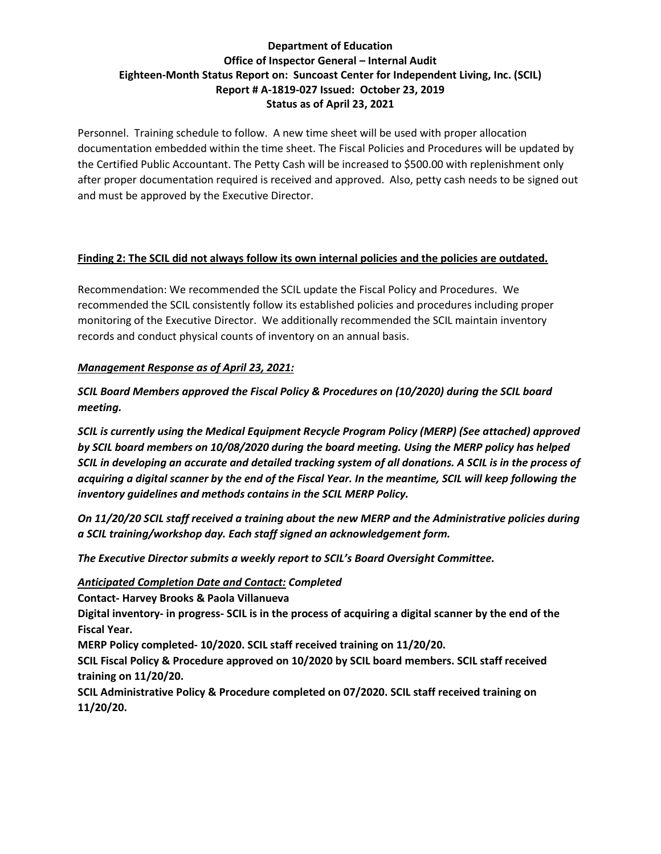Personnel. Training schedule to follow. A new time sheet will be used with proper allocation documentation embedded within the time sheet. The Fiscal Policies and Procedures will be updated by the Certified Public Accountant. The Petty Cash will be increased to \$500.00 with replenishment only after proper documentation required is received and approved. Also, petty cash needs to be signed out and must be approved by the Executive Director.

### **Finding 2: The SCIL did not always follow its own internal policies and the policies are outdated.**

Recommendation: We recommended the SCIL update the Fiscal Policy and Procedures. We recommended the SCIL consistently follow its established policies and procedures including proper monitoring of the Executive Director. We additionally recommended the SCIL maintain inventory records and conduct physical counts of inventory on an annual basis.

### *Management Response as of April 23, 2021:*

*SCIL Board Members approved the Fiscal Policy & Procedures on (10/2020) during the SCIL board meeting.* 

*SCIL is currently using the Medical Equipment Recycle Program Policy (MERP) (See attached) approved by SCIL board members on 10/08/2020 during the board meeting. Using the MERP policy has helped SCIL in developing an accurate and detailed tracking system of all donations. A SCIL is in the process of acquiring a digital scanner by the end of the Fiscal Year. In the meantime, SCIL will keep following the inventory guidelines and methods contains in the SCIL MERP Policy.* 

*On 11/20/20 SCIL staff received a training about the new MERP and the Administrative policies during a SCIL training/workshop day. Each staff signed an acknowledgement form.* 

*The Executive Director submits a weekly report to SCIL's Board Oversight Committee.* 

#### *Anticipated Completion Date and Contact: Completed*

**Contact- Harvey Brooks & Paola Villanueva**

**Digital inventory- in progress- SCIL is in the process of acquiring a digital scanner by the end of the Fiscal Year.**

**MERP Policy completed- 10/2020. SCIL staff received training on 11/20/20.**

**SCIL Fiscal Policy & Procedure approved on 10/2020 by SCIL board members. SCIL staff received training on 11/20/20.**

**SCIL Administrative Policy & Procedure completed on 07/2020. SCIL staff received training on 11/20/20.**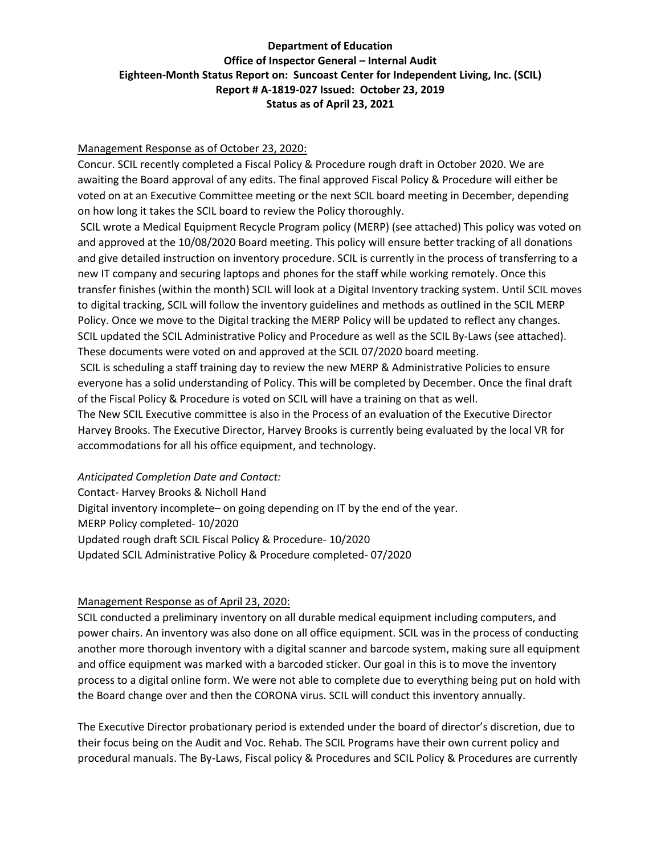#### Management Response as of October 23, 2020:

Concur. SCIL recently completed a Fiscal Policy & Procedure rough draft in October 2020. We are awaiting the Board approval of any edits. The final approved Fiscal Policy & Procedure will either be voted on at an Executive Committee meeting or the next SCIL board meeting in December, depending on how long it takes the SCIL board to review the Policy thoroughly.

SCIL wrote a Medical Equipment Recycle Program policy (MERP) (see attached) This policy was voted on and approved at the 10/08/2020 Board meeting. This policy will ensure better tracking of all donations and give detailed instruction on inventory procedure. SCIL is currently in the process of transferring to a new IT company and securing laptops and phones for the staff while working remotely. Once this transfer finishes (within the month) SCIL will look at a Digital Inventory tracking system. Until SCIL moves to digital tracking, SCIL will follow the inventory guidelines and methods as outlined in the SCIL MERP Policy. Once we move to the Digital tracking the MERP Policy will be updated to reflect any changes. SCIL updated the SCIL Administrative Policy and Procedure as well as the SCIL By-Laws (see attached). These documents were voted on and approved at the SCIL 07/2020 board meeting.

SCIL is scheduling a staff training day to review the new MERP & Administrative Policies to ensure everyone has a solid understanding of Policy. This will be completed by December. Once the final draft of the Fiscal Policy & Procedure is voted on SCIL will have a training on that as well.

The New SCIL Executive committee is also in the Process of an evaluation of the Executive Director Harvey Brooks. The Executive Director, Harvey Brooks is currently being evaluated by the local VR for accommodations for all his office equipment, and technology.

#### *Anticipated Completion Date and Contact:*

Contact- Harvey Brooks & Nicholl Hand Digital inventory incomplete– on going depending on IT by the end of the year. MERP Policy completed- 10/2020 Updated rough draft SCIL Fiscal Policy & Procedure- 10/2020 Updated SCIL Administrative Policy & Procedure completed- 07/2020

#### Management Response as of April 23, 2020:

SCIL conducted a preliminary inventory on all durable medical equipment including computers, and power chairs. An inventory was also done on all office equipment. SCIL was in the process of conducting another more thorough inventory with a digital scanner and barcode system, making sure all equipment and office equipment was marked with a barcoded sticker. Our goal in this is to move the inventory process to a digital online form. We were not able to complete due to everything being put on hold with the Board change over and then the CORONA virus. SCIL will conduct this inventory annually.

The Executive Director probationary period is extended under the board of director's discretion, due to their focus being on the Audit and Voc. Rehab. The SCIL Programs have their own current policy and procedural manuals. The By-Laws, Fiscal policy & Procedures and SCIL Policy & Procedures are currently